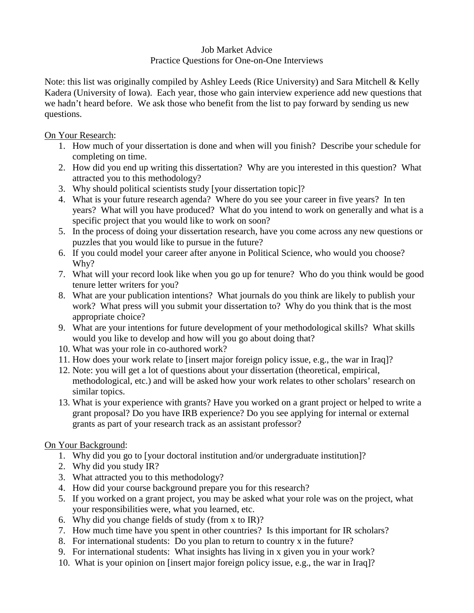## Job Market Advice Practice Questions for One-on-One Interviews

Note: this list was originally compiled by Ashley Leeds (Rice University) and Sara Mitchell & Kelly Kadera (University of Iowa). Each year, those who gain interview experience add new questions that we hadn't heard before. We ask those who benefit from the list to pay forward by sending us new questions.

On Your Research:

- 1. How much of your dissertation is done and when will you finish? Describe your schedule for completing on time.
- 2. How did you end up writing this dissertation? Why are you interested in this question? What attracted you to this methodology?
- 3. Why should political scientists study [your dissertation topic]?
- 4. What is your future research agenda? Where do you see your career in five years? In ten years? What will you have produced? What do you intend to work on generally and what is a specific project that you would like to work on soon?
- 5. In the process of doing your dissertation research, have you come across any new questions or puzzles that you would like to pursue in the future?
- 6. If you could model your career after anyone in Political Science, who would you choose? Why?
- 7. What will your record look like when you go up for tenure? Who do you think would be good tenure letter writers for you?
- 8. What are your publication intentions? What journals do you think are likely to publish your work? What press will you submit your dissertation to? Why do you think that is the most appropriate choice?
- 9. What are your intentions for future development of your methodological skills? What skills would you like to develop and how will you go about doing that?
- 10. What was your role in co-authored work?
- 11. How does your work relate to [insert major foreign policy issue, e.g., the war in Iraq]?
- 12. Note: you will get a lot of questions about your dissertation (theoretical, empirical, methodological, etc.) and will be asked how your work relates to other scholars' research on similar topics.
- 13. What is your experience with grants? Have you worked on a grant project or helped to write a grant proposal? Do you have IRB experience? Do you see applying for internal or external grants as part of your research track as an assistant professor?

On Your Background:

- 1. Why did you go to [your doctoral institution and/or undergraduate institution]?
- 2. Why did you study IR?
- 3. What attracted you to this methodology?
- 4. How did your course background prepare you for this research?
- 5. If you worked on a grant project, you may be asked what your role was on the project, what your responsibilities were, what you learned, etc.
- 6. Why did you change fields of study (from x to IR)?
- 7. How much time have you spent in other countries? Is this important for IR scholars?
- 8. For international students: Do you plan to return to country x in the future?
- 9. For international students: What insights has living in x given you in your work?
- 10. What is your opinion on [insert major foreign policy issue, e.g., the war in Iraq]?